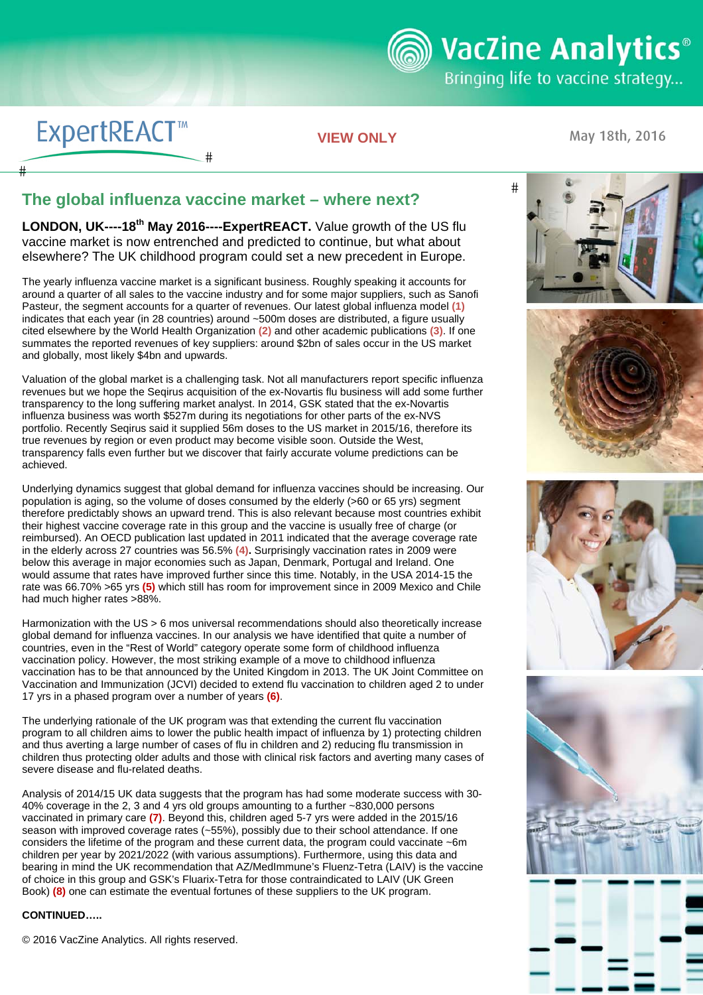**ම් VacZine Analytics**®

Bringing life to vaccine strategy...

# **ExpertREACT™**

#

**VIEW ONLY** 

May 18th, 2016

### **The global influenza vaccine market – where next?**

#

**LONDON, UK----18th May 2016----ExpertREACT.** Value growth of the US flu vaccine market is now entrenched and predicted to continue, but what about elsewhere? The UK childhood program could set a new precedent in Europe.

The yearly influenza vaccine market is a significant business. Roughly speaking it accounts for around a quarter of all sales to the vaccine industry and for some major suppliers, such as Sanofi Pasteur, the segment accounts for a quarter of revenues. Our latest global influenza model **(1)** indicates that each year (in 28 countries) around ~500m doses are distributed, a figure usually cited elsewhere by the World Health Organization **(2)** and other academic publications **(3)**. If one summates the reported revenues of key suppliers: around \$2bn of sales occur in the US market and globally, most likely \$4bn and upwards.

Valuation of the global market is a challenging task. Not all manufacturers report specific influenza revenues but we hope the Seqirus acquisition of the ex-Novartis flu business will add some further transparency to the long suffering market analyst. In 2014, GSK stated that the ex-Novartis influenza business was worth \$527m during its negotiations for other parts of the ex-NVS portfolio. Recently Seqirus said it supplied 56m doses to the US market in 2015/16, therefore its true revenues by region or even product may become visible soon. Outside the West, transparency falls even further but we discover that fairly accurate volume predictions can be achieved.

Underlying dynamics suggest that global demand for influenza vaccines should be increasing. Our population is aging, so the volume of doses consumed by the elderly (>60 or 65 yrs) segment therefore predictably shows an upward trend. This is also relevant because most countries exhibit their highest vaccine coverage rate in this group and the vaccine is usually free of charge (or reimbursed). An OECD publication last updated in 2011 indicated that the average coverage rate in the elderly across 27 countries was 56.5% **(4).** Surprisingly vaccination rates in 2009 were below this average in major economies such as Japan, Denmark, Portugal and Ireland. One would assume that rates have improved further since this time. Notably, in the USA 2014-15 the rate was 66.70% >65 yrs **(5)** which still has room for improvement since in 2009 Mexico and Chile had much higher rates >88%.

Harmonization with the US > 6 mos universal recommendations should also theoretically increase global demand for influenza vaccines. In our analysis we have identified that quite a number of countries, even in the "Rest of World" category operate some form of childhood influenza vaccination policy. However, the most striking example of a move to childhood influenza vaccination has to be that announced by the United Kingdom in 2013. The UK Joint Committee on Vaccination and Immunization (JCVI) decided to extend flu vaccination to children aged 2 to under 17 yrs in a phased program over a number of years **(6)**.

 severe disease and flu-related deaths. The underlying rationale of the UK program was that extending the current flu vaccination program to all children aims to lower the public health impact of influenza by 1) protecting children and thus averting a large number of cases of flu in children and 2) reducing flu transmission in children thus protecting older adults and those with clinical risk factors and averting many cases of

 vaccinated in primary care **(7)**. Beyond this, children aged 5-7 yrs were added in the 2015/16 Analysis of 2014/15 UK data suggests that the program has had some moderate success with 30- 40% coverage in the 2, 3 and 4 yrs old groups amounting to a further ~830,000 persons season with improved coverage rates (~55%), possibly due to their school attendance. If one considers the lifetime of the program and these current data, the program could vaccinate ~6m children per year by 2021/2022 (with various assumptions). Furthermore, using this data and bearing in mind the UK recommendation that AZ/MedImmune's Fluenz-Tetra (LAIV) is the vaccine of choice in this group and GSK's Fluarix-Tetra for those contraindicated to LAIV (UK Green Book) **(8)** one can estimate the eventual fortunes of these suppliers to the UK program.

### **CONTINUED…..**

© 2016 VacZine Analytics. All rights reserved.